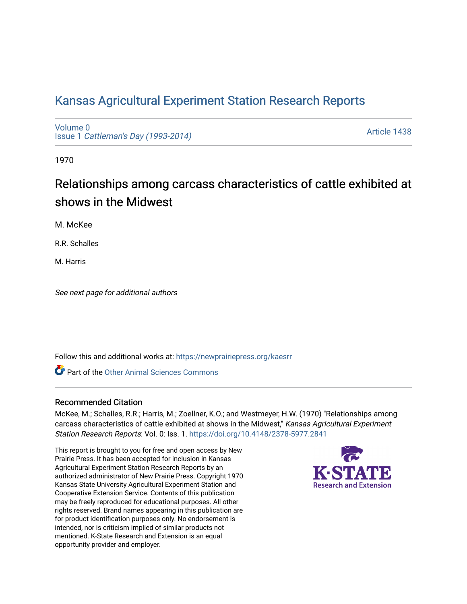## [Kansas Agricultural Experiment Station Research Reports](https://newprairiepress.org/kaesrr)

[Volume 0](https://newprairiepress.org/kaesrr/vol0) Issue 1 [Cattleman's Day \(1993-2014\)](https://newprairiepress.org/kaesrr/vol0/iss1) 

[Article 1438](https://newprairiepress.org/kaesrr/vol0/iss1/1438) 

1970

# Relationships among carcass characteristics of cattle exhibited at shows in the Midwest

M. McKee

R.R. Schalles

M. Harris

See next page for additional authors

Follow this and additional works at: [https://newprairiepress.org/kaesrr](https://newprairiepress.org/kaesrr?utm_source=newprairiepress.org%2Fkaesrr%2Fvol0%2Fiss1%2F1438&utm_medium=PDF&utm_campaign=PDFCoverPages) 

**C** Part of the [Other Animal Sciences Commons](http://network.bepress.com/hgg/discipline/82?utm_source=newprairiepress.org%2Fkaesrr%2Fvol0%2Fiss1%2F1438&utm_medium=PDF&utm_campaign=PDFCoverPages)

#### Recommended Citation

McKee, M.; Schalles, R.R.; Harris, M.; Zoellner, K.O.; and Westmeyer, H.W. (1970) "Relationships among carcass characteristics of cattle exhibited at shows in the Midwest," Kansas Agricultural Experiment Station Research Reports: Vol. 0: Iss. 1.<https://doi.org/10.4148/2378-5977.2841>

This report is brought to you for free and open access by New Prairie Press. It has been accepted for inclusion in Kansas Agricultural Experiment Station Research Reports by an authorized administrator of New Prairie Press. Copyright 1970 Kansas State University Agricultural Experiment Station and Cooperative Extension Service. Contents of this publication may be freely reproduced for educational purposes. All other rights reserved. Brand names appearing in this publication are for product identification purposes only. No endorsement is intended, nor is criticism implied of similar products not mentioned. K-State Research and Extension is an equal opportunity provider and employer.

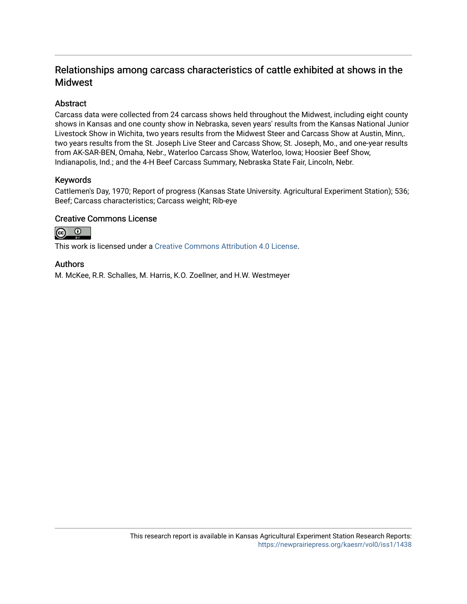### Relationships among carcass characteristics of cattle exhibited at shows in the Midwest

#### Abstract

Carcass data were collected from 24 carcass shows held throughout the Midwest, including eight county shows in Kansas and one county show in Nebraska, seven years' results from the Kansas National Junior Livestock Show in Wichita, two years results from the Midwest Steer and Carcass Show at Austin, Minn,. two years results from the St. Joseph Live Steer and Carcass Show, St. Joseph, Mo., and one-year results from AK-SAR-BEN, Omaha, Nebr., Waterloo Carcass Show, Waterloo, Iowa; Hoosier Beef Show, Indianapolis, Ind.; and the 4-H Beef Carcass Summary, Nebraska State Fair, Lincoln, Nebr.

#### Keywords

Cattlemen's Day, 1970; Report of progress (Kansas State University. Agricultural Experiment Station); 536; Beef; Carcass characteristics; Carcass weight; Rib-eye

#### Creative Commons License



This work is licensed under a [Creative Commons Attribution 4.0 License](https://creativecommons.org/licenses/by/4.0/).

#### Authors

M. McKee, R.R. Schalles, M. Harris, K.O. Zoellner, and H.W. Westmeyer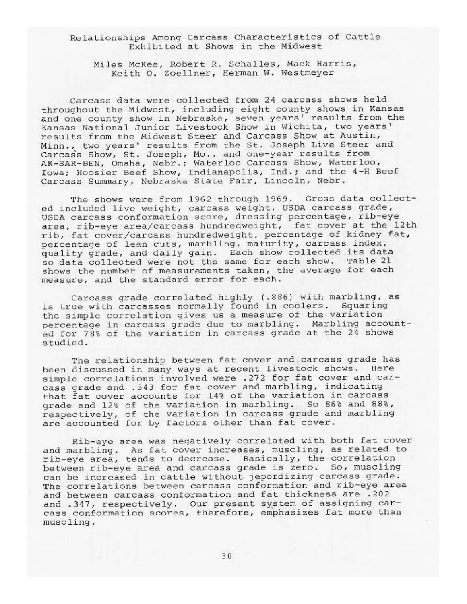Relationships Among Carcass Characteristics of Cattle Exhibited at Shows in the Midwest

Miles McKee, Robert R. Schalles, Mack Harris, Keith O. Zoellner, Herman W. Westmeyer

Carcass data were collected from 24 carcass shows held throughout the Midwest, including eight county shows in Kansas and one county show in Nebraska, seven years' results from the Kansas National Junior Livestock Show in Wichita, two years' results from the Midwest Steer and Carcass Show at Austin, Minn., two years' results from the St. Joseph Live Steer and Carcass Show, St. Joseph, Mo., and one-year results from AK-SAR-BEN, Omaha, Nebr.; Waterloo Carcass Show, Waterloo, Iowa; Hoosier Beef Show, Indianapolis, Ind.; and the 4-H Beef Carcass Summary, Nebraska State Fair, Lincoln, Nebr.

The shows were from 1962 through 1969. Gross data collected included live weight, carcass weight, USDA carcass grade, USDA carcass conformation score, dressing percentage, rib-eye area, rib-eye area/carcass hundredweight, fat cover at the 12th rib, fat cover/carcass hundredweight, percentage of kidney fat, percentage of lean cuts, marbling, maturity, carcass index, quality grade, and daily gain. Each show collected its data<br>so data collected were not the same for each show. Table 21 shows the number of measurements taken, the average for each measure, and the standard error for each.

Carcass grade correlated highly (.886) with marbling, as is true with carcasses normally found in coolers. Squaring the simple correlation gives us a measure of the variation percentage in carcass grade due to marbling. Marbling accounted for 78% of the variation in carcass grade at the 24 shows studied.

The relationship between fat cover and carcass grade has been discussed in many ways at recent livestock shows. Here simple correlations involved were .272 for fat cover and carcass grade and .343 for fat cover and marbling, indicating that fat cover accounts for 14% of the variation in carcass grade and 12% of the variation in marbling. So 86% and 88%, respectively, of the variation in carcass grade and marbling are accounted for by factors other than fat cover.

Rib-eye area was negatively correlated with both fat cover and marbling. As fat cover increases, muscling, as related to rib-eye area, tends to decrease. Basically, the correlation between rib-eye area and carcass grade is zero. So, muscling can be increased in cattle without jepordizing carcass grade. The correlations between carcass conformation and rib-eye area and between carcass conformation and fat thickness are .202 and .347, respectively. Our present system of assigning carcass conformation scores, therefore, emphasizes fat more than muscling.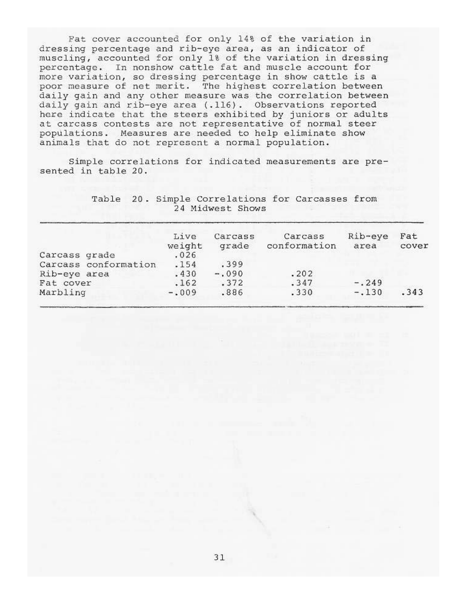Fat cover accounted for only 14% of the variation in dressing percentage and rib-eye area, as an indicator of muscling, accounted for only 1% of the variation in dressing percentage. In nonshow cattle fat and muscle account for more variation, so dressing percentage in show cattle is a poor measure of net merit. The highest correlation between daily gain and any other measure was the correlation between daily gain and rib-eye area (.116). Observations reported here indicate that the steers exhibited by juniors or adults at carcass contests are not representative of normal steer populations. Measures are needed to help eliminate show animals that do not represent a normal population.

Simple correlations for indicated measurements are presented in table 20.

> Table 20. Simple Correlations for Carcasses from 24 Midwest Shows

|                      | Live<br>weight | Carcass<br>grade | Carcass<br>conformation | Rib-eye<br>area | Fat<br>cover |
|----------------------|----------------|------------------|-------------------------|-----------------|--------------|
| Carcass grade        | .026           |                  |                         |                 |              |
| Carcass conformation | .154           | .399             |                         |                 |              |
| Rib-eye area         | .430           | $-.090$          | .202                    |                 |              |
| Fat cover            | .162           | .372             | .347                    | $-.249$         |              |
| Marbling             | $-.009$        | .886             | .330                    | $-.130$         | .343         |